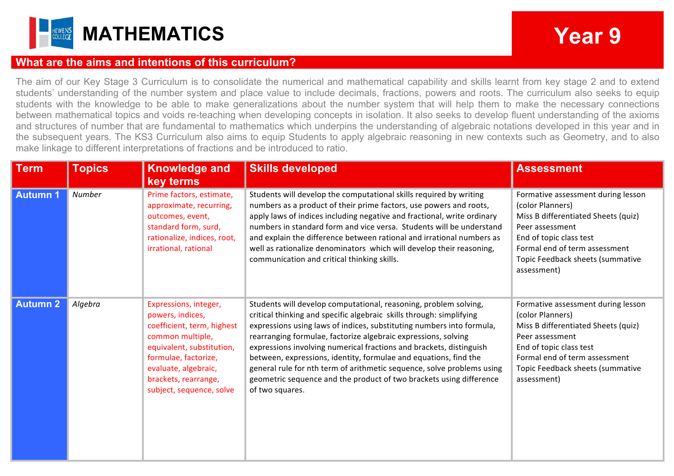

## **What are the aims and intentions of this curriculum?**

The aim of our Key Stage 3 Curriculum is to consolidate the numerical and mathematical capability and skills learnt from key stage 2 and to extend students' understanding of the number system and place value to include decimals, fractions, powers and roots. The curriculum also seeks to equip students with the knowledge to be able to make generalizations about the number system that will help them to make the necessary connections between mathematical topics and voids re-teaching when developing concepts in isolation. It also seeks to develop fluent understanding of the axioms and structures of number that are fundamental to mathematics which underpins the understanding of algebraic notations developed in this year and in the subsequent years. The KS3 Curriculum also aims to equip Students to apply algebraic reasoning in new contexts such as Geometry, and to also make linkage to different interpretations of fractions and be introduced to ratio.

| <b>Term</b>     | <b>Topics</b> | <b>Knowledge and</b><br>key terms                                                                                                                                                                                            | <b>Skills developed</b>                                                                                                                                                                                                                                                                                                                                                                                                                                                                                                                                                                            | <b>Assessment</b>                                                                                                                                                                                                               |
|-----------------|---------------|------------------------------------------------------------------------------------------------------------------------------------------------------------------------------------------------------------------------------|----------------------------------------------------------------------------------------------------------------------------------------------------------------------------------------------------------------------------------------------------------------------------------------------------------------------------------------------------------------------------------------------------------------------------------------------------------------------------------------------------------------------------------------------------------------------------------------------------|---------------------------------------------------------------------------------------------------------------------------------------------------------------------------------------------------------------------------------|
| <b>Autumn 1</b> | Number        | Prime factors, estimate,<br>approximate, recurring,<br>outcomes, event,<br>standard form, surd,<br>rationalize, indices, root,<br>irrational, rational                                                                       | Students will develop the computational skills required by writing<br>numbers as a product of their prime factors, use powers and roots,<br>apply laws of indices including negative and fractional, write ordinary<br>numbers in standard form and vice versa. Students will be understand<br>and explain the difference between rational and irrational numbers as<br>well as rationalize denominators which will develop their reasoning,<br>communication and critical thinking skills.                                                                                                        | Formative assessment during lesson<br>(color Planners)<br>Miss B differentiated Sheets (quiz)<br>Peer assessment<br>End of topic class test<br>Formal end of term assessment<br>Topic Feedback sheets (summative<br>assessment) |
| <b>Autumn 2</b> | Algebra       | Expressions, integer,<br>powers, indices,<br>coefficient, term, highest<br>common multiple,<br>equivalent, substitution,<br>formulae, factorize,<br>evaluate, algebraic,<br>brackets, rearrange,<br>subject, sequence, solve | Students will develop computational, reasoning, problem solving,<br>critical thinking and specific algebraic skills through: simplifying<br>expressions using laws of indices, substituting numbers into formula,<br>rearranging formulae, factorize algebraic expressions, solving<br>expressions involving numerical fractions and brackets, distinguish<br>between, expressions, identity, formulae and equations, find the<br>general rule for nth term of arithmetic sequence, solve problems using<br>geometric sequence and the product of two brackets using difference<br>of two squares. | Formative assessment during lesson<br>(color Planners)<br>Miss B differentiated Sheets (quiz)<br>Peer assessment<br>End of topic class test<br>Formal end of term assessment<br>Topic Feedback sheets (summative<br>assessment) |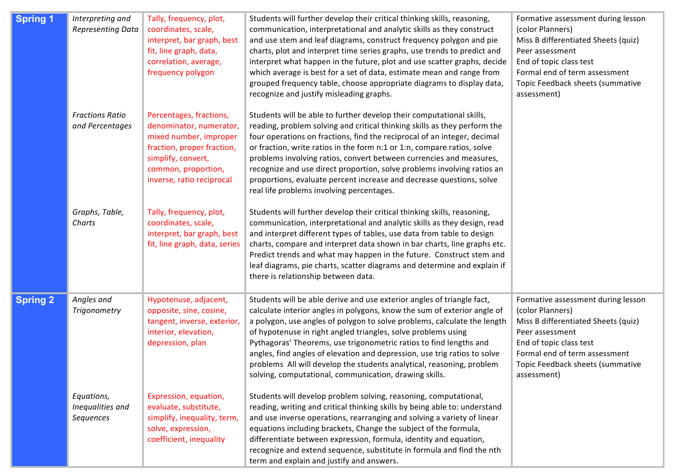| <b>Spring 1</b> | Interpreting and<br><b>Representing Data</b> | Tally, frequency, plot,<br>coordinates, scale,<br>interpret, bar graph, best<br>fit, line graph, data,<br>correlation, average,<br>frequency polygon                                 | Students will further develop their critical thinking skills, reasoning,<br>communication, interpretational and analytic skills as they construct<br>and use stem and leaf diagrams, construct frequency polygon and pie<br>charts, plot and interpret time series graphs, use trends to predict and<br>interpret what happen in the future, plot and use scatter graphs, decide<br>which average is best for a set of data, estimate mean and range from<br>grouped frequency table, choose appropriate diagrams to display data,<br>recognize and justify misleading graphs.        | Formative assessment during lesson<br>(color Planners)<br>Miss B differentiated Sheets (quiz)<br>Peer assessment<br>End of topic class test<br>Formal end of term assessment<br>Topic Feedback sheets (summative<br>assessment) |
|-----------------|----------------------------------------------|--------------------------------------------------------------------------------------------------------------------------------------------------------------------------------------|---------------------------------------------------------------------------------------------------------------------------------------------------------------------------------------------------------------------------------------------------------------------------------------------------------------------------------------------------------------------------------------------------------------------------------------------------------------------------------------------------------------------------------------------------------------------------------------|---------------------------------------------------------------------------------------------------------------------------------------------------------------------------------------------------------------------------------|
|                 | <b>Fractions Ratio</b><br>and Percentages    | Percentages, fractions,<br>denominator, numerator,<br>mixed number, improper<br>fraction, proper fraction,<br>simplify, convert,<br>common, proportion,<br>inverse, ratio reciprocal | Students will be able to further develop their computational skills,<br>reading, problem solving and critical thinking skills as they perform the<br>four operations on fractions, find the reciprocal of an integer, decimal<br>or fraction, write ratios in the form n:1 or 1:n, compare ratios, solve<br>problems involving ratios, convert between currencies and measures,<br>recognize and use direct proportion, solve problems involving ratios an<br>proportions, evaluate percent increase and decrease questions, solve<br>real life problems involving percentages.       |                                                                                                                                                                                                                                 |
|                 | Graphs, Table,<br>Charts                     | Tally, frequency, plot,<br>coordinates, scale,<br>interpret, bar graph, best<br>fit, line graph, data, series                                                                        | Students will further develop their critical thinking skills, reasoning,<br>communication, interpretational and analytic skills as they design, read<br>and interpret different types of tables, use data from table to design<br>charts, compare and interpret data shown in bar charts, line graphs etc.<br>Predict trends and what may happen in the future. Construct stem and<br>leaf diagrams, pie charts, scatter diagrams and determine and explain if<br>there is relationship between data.                                                                                 |                                                                                                                                                                                                                                 |
| <b>Spring 2</b> | Angles and<br><b>Trigonometry</b>            | Hypotenuse, adjacent,<br>opposite, sine, cosine,<br>tangent, inverse, exterior,<br>interior, elevation,<br>depression, plan                                                          | Students will be able derive and use exterior angles of triangle fact,<br>calculate interior angles in polygons, know the sum of exterior angle of<br>a polygon, use angles of polygon to solve problems, calculate the length<br>of hypotenuse in right angled triangles, solve problems using<br>Pythagoras' Theorems, use trigonometric ratios to find lengths and<br>angles, find angles of elevation and depression, use trig ratios to solve<br>problems All will develop the students analytical, reasoning, problem<br>solving, computational, communication, drawing skills. | Formative assessment during lesson<br>(color Planners)<br>Miss B differentiated Sheets (quiz)<br>Peer assessment<br>End of topic class test<br>Formal end of term assessment<br>Topic Feedback sheets (summative<br>assessment) |
|                 | Equations,<br>Inequalities and<br>Sequences  | Expression, equation,<br>evaluate, substitute,<br>simplify, inequality, term,<br>solve, expression,<br>coefficient, inequality                                                       | Students will develop problem solving, reasoning, computational,<br>reading, writing and critical thinking skills by being able to: understand<br>and use inverse operations, rearranging and solving a variety of linear<br>equations including brackets, Change the subject of the formula,<br>differentiate between expression, formula, identity and equation,<br>recognize and extend sequence, substitute in formula and find the nth<br>term and explain and justify and answers.                                                                                              |                                                                                                                                                                                                                                 |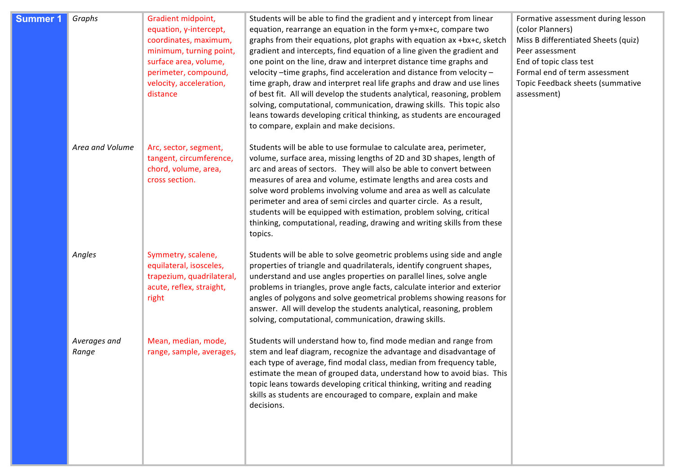| <b>Summer 1</b> | Graphs                | Gradient midpoint,<br>equation, y-intercept,<br>coordinates, maximum,<br>minimum, turning point,<br>surface area, volume,<br>perimeter, compound,<br>velocity, acceleration,<br>distance | Students will be able to find the gradient and y intercept from linear<br>equation, rearrange an equation in the form y+mx+c, compare two<br>graphs from their equations, plot graphs with equation ax +bx+c, sketch<br>gradient and intercepts, find equation of a line given the gradient and<br>one point on the line, draw and interpret distance time graphs and<br>velocity -time graphs, find acceleration and distance from velocity -<br>time graph, draw and interpret real life graphs and draw and use lines<br>of best fit. All will develop the students analytical, reasoning, problem<br>solving, computational, communication, drawing skills. This topic also<br>leans towards developing critical thinking, as students are encouraged<br>to compare, explain and make decisions. | Formative assessment during lesson<br>(color Planners)<br>Miss B differentiated Sheets (quiz)<br>Peer assessment<br>End of topic class test<br>Formal end of term assessment<br>Topic Feedback sheets (summative<br>assessment) |
|-----------------|-----------------------|------------------------------------------------------------------------------------------------------------------------------------------------------------------------------------------|------------------------------------------------------------------------------------------------------------------------------------------------------------------------------------------------------------------------------------------------------------------------------------------------------------------------------------------------------------------------------------------------------------------------------------------------------------------------------------------------------------------------------------------------------------------------------------------------------------------------------------------------------------------------------------------------------------------------------------------------------------------------------------------------------|---------------------------------------------------------------------------------------------------------------------------------------------------------------------------------------------------------------------------------|
|                 | Area and Volume       | Arc, sector, segment,<br>tangent, circumference,<br>chord, volume, area,<br>cross section.                                                                                               | Students will be able to use formulae to calculate area, perimeter,<br>volume, surface area, missing lengths of 2D and 3D shapes, length of<br>arc and areas of sectors. They will also be able to convert between<br>measures of area and volume, estimate lengths and area costs and<br>solve word problems involving volume and area as well as calculate<br>perimeter and area of semi circles and quarter circle. As a result,<br>students will be equipped with estimation, problem solving, critical<br>thinking, computational, reading, drawing and writing skills from these<br>topics.                                                                                                                                                                                                    |                                                                                                                                                                                                                                 |
|                 | Angles                | Symmetry, scalene,<br>equilateral, isosceles,<br>trapezium, quadrilateral,<br>acute, reflex, straight,<br>right                                                                          | Students will be able to solve geometric problems using side and angle<br>properties of triangle and quadrilaterals, identify congruent shapes,<br>understand and use angles properties on parallel lines, solve angle<br>problems in triangles, prove angle facts, calculate interior and exterior<br>angles of polygons and solve geometrical problems showing reasons for<br>answer. All will develop the students analytical, reasoning, problem<br>solving, computational, communication, drawing skills.                                                                                                                                                                                                                                                                                       |                                                                                                                                                                                                                                 |
|                 | Averages and<br>Range | Mean, median, mode,<br>range, sample, averages,                                                                                                                                          | Students will understand how to, find mode median and range from<br>stem and leaf diagram, recognize the advantage and disadvantage of<br>each type of average, find modal class, median from frequency table,<br>estimate the mean of grouped data, understand how to avoid bias. This<br>topic leans towards developing critical thinking, writing and reading<br>skills as students are encouraged to compare, explain and make<br>decisions.                                                                                                                                                                                                                                                                                                                                                     |                                                                                                                                                                                                                                 |